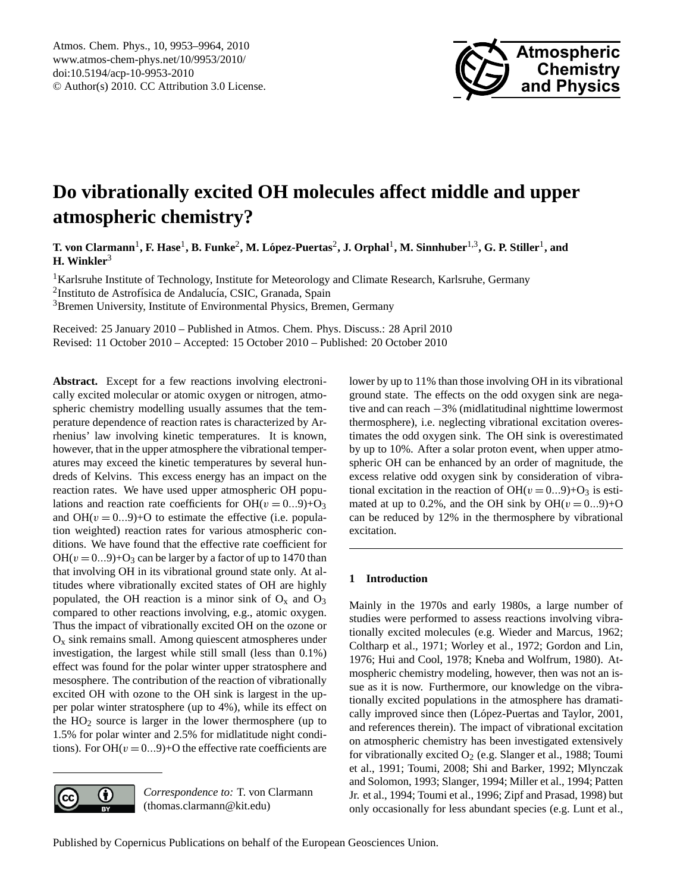

# <span id="page-0-0"></span>**Do vibrationally excited OH molecules affect middle and upper atmospheric chemistry?**

 ${\bf T.}$  von Clarmann<sup>1</sup>, **F.** Hase<sup>1</sup>, **B.** Funke<sup>2</sup>, M. López-Puertas<sup>2</sup>, J. Orphal<sup>1</sup>, M. Sinnhuber<sup>1,3</sup>, G. P. Stiller<sup>1</sup>, and **H. Winkler**<sup>3</sup>

<sup>1</sup>Karlsruhe Institute of Technology, Institute for Meteorology and Climate Research, Karlsruhe, Germany <sup>2</sup>Instituto de Astrofísica de Andalucía, CSIC, Granada, Spain <sup>3</sup>Bremen University, Institute of Environmental Physics, Bremen, Germany

Received: 25 January 2010 – Published in Atmos. Chem. Phys. Discuss.: 28 April 2010 Revised: 11 October 2010 – Accepted: 15 October 2010 – Published: 20 October 2010

**Abstract.** Except for a few reactions involving electronically excited molecular or atomic oxygen or nitrogen, atmospheric chemistry modelling usually assumes that the temperature dependence of reaction rates is characterized by Arrhenius' law involving kinetic temperatures. It is known, however, that in the upper atmosphere the vibrational temperatures may exceed the kinetic temperatures by several hundreds of Kelvins. This excess energy has an impact on the reaction rates. We have used upper atmospheric OH populations and reaction rate coefficients for  $OH(v = 0...9)+O_3$ and  $OH(v = 0...9) + O$  to estimate the effective (i.e. population weighted) reaction rates for various atmospheric conditions. We have found that the effective rate coefficient for  $OH(v = 0...9)+O_3$  can be larger by a factor of up to 1470 than that involving OH in its vibrational ground state only. At altitudes where vibrationally excited states of OH are highly populated, the OH reaction is a minor sink of  $O_x$  and  $O_3$ compared to other reactions involving, e.g., atomic oxygen. Thus the impact of vibrationally excited OH on the ozone or  $O<sub>x</sub>$  sink remains small. Among quiescent atmospheres under investigation, the largest while still small (less than 0.1%) effect was found for the polar winter upper stratosphere and mesosphere. The contribution of the reaction of vibrationally excited OH with ozone to the OH sink is largest in the upper polar winter stratosphere (up to 4%), while its effect on the  $HO<sub>2</sub>$  source is larger in the lower thermosphere (up to 1.5% for polar winter and 2.5% for midlatitude night conditions). For OH( $v = 0...9$ )+O the effective rate coefficients are



*Correspondence to:* T. von Clarmann (thomas.clarmann@kit.edu)

lower by up to 11% than those involving OH in its vibrational ground state. The effects on the odd oxygen sink are negative and can reach −3% (midlatitudinal nighttime lowermost thermosphere), i.e. neglecting vibrational excitation overestimates the odd oxygen sink. The OH sink is overestimated by up to 10%. After a solar proton event, when upper atmospheric OH can be enhanced by an order of magnitude, the excess relative odd oxygen sink by consideration of vibrational excitation in the reaction of  $OH(v = 0...9)+O_3$  is estimated at up to 0.2%, and the OH sink by  $OH(v = 0...9) + O$ can be reduced by 12% in the thermosphere by vibrational excitation.

# **1 Introduction**

Mainly in the 1970s and early 1980s, a large number of studies were performed to assess reactions involving vibrationally excited molecules (e.g. [Wieder and Marcus,](#page-11-0) [1962;](#page-11-0) [Coltharp et al.,](#page-10-0) [1971;](#page-10-0) [Worley et al.,](#page-11-1) [1972;](#page-11-1) [Gordon and Lin,](#page-10-1) [1976;](#page-10-1) [Hui and Cool,](#page-10-2) [1978;](#page-10-2) [Kneba and Wolfrum,](#page-10-3) [1980\)](#page-10-3). Atmospheric chemistry modeling, however, then was not an issue as it is now. Furthermore, our knowledge on the vibrationally excited populations in the atmosphere has dramati-cally improved since then (López-Puertas and Taylor, [2001,](#page-10-4) and references therein). The impact of vibrational excitation on atmospheric chemistry has been investigated extensively for vibrationally excited  $O_2$  (e.g. [Slanger et al.,](#page-11-2) [1988;](#page-11-2) [Toumi](#page-11-3) [et al.,](#page-11-3) [1991;](#page-11-3) [Toumi,](#page-11-4) [2008;](#page-11-4) [Shi and Barker,](#page-11-5) [1992;](#page-11-5) [Mlynczak](#page-11-6) [and Solomon,](#page-11-6) [1993;](#page-11-6) [Slanger,](#page-11-7) [1994;](#page-11-7) [Miller et al.,](#page-10-5) [1994;](#page-10-5) [Patten](#page-11-8) [Jr. et al.,](#page-11-8) [1994;](#page-11-8) [Toumi et al.,](#page-11-9) [1996;](#page-11-9) [Zipf and Prasad,](#page-11-10) [1998\)](#page-11-10) but only occasionally for less abundant species (e.g. [Lunt et al.,](#page-10-6)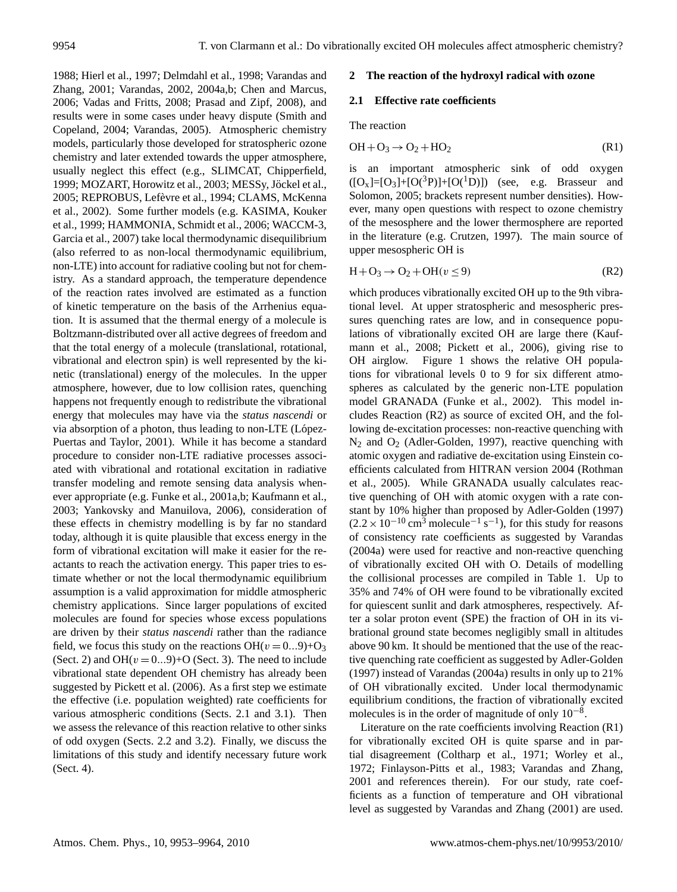[1988;](#page-10-6) [Hierl et al.,](#page-10-7) [1997;](#page-10-7) [Delmdahl et al.,](#page-10-8) [1998;](#page-10-8) [Varandas and](#page-11-11) [Zhang,](#page-11-11) [2001;](#page-11-11) [Varandas,](#page-11-12) [2002,](#page-11-12) [2004a,](#page-11-13)[b;](#page-11-14) [Chen and Marcus,](#page-10-9) [2006;](#page-10-9) [Vadas and Fritts,](#page-11-15) [2008;](#page-11-15) [Prasad and Zipf,](#page-11-16) [2008\)](#page-11-16), and results were in some cases under heavy dispute [\(Smith and](#page-11-17) [Copeland,](#page-11-17) [2004;](#page-11-17) [Varandas,](#page-11-18) [2005\)](#page-11-18). Atmospheric chemistry models, particularly those developed for stratospheric ozone chemistry and later extended towards the upper atmosphere, usually neglect this effect (e.g., SLIMCAT, [Chipperfield,](#page-10-10) [1999;](#page-10-10) MOZART, [Horowitz et al.,](#page-10-11) [2003;](#page-10-11) MESSy, Jöckel et al., [2005;](#page-10-12) REPROBUS, Lefèvre et al., [1994;](#page-10-13) CLAMS, [McKenna](#page-10-14) [et al.,](#page-10-14) [2002\)](#page-10-14). Some further models (e.g. KASIMA, [Kouker](#page-10-15) [et al.,](#page-10-15) [1999;](#page-10-15) HAMMONIA, [Schmidt et al.,](#page-11-19) [2006;](#page-11-19) WACCM-3, [Garcia et al.,](#page-10-16) [2007\)](#page-10-16) take local thermodynamic disequilibrium (also referred to as non-local thermodynamic equilibrium, non-LTE) into account for radiative cooling but not for chemistry. As a standard approach, the temperature dependence of the reaction rates involved are estimated as a function of kinetic temperature on the basis of the Arrhenius equation. It is assumed that the thermal energy of a molecule is Boltzmann-distributed over all active degrees of freedom and that the total energy of a molecule (translational, rotational, vibrational and electron spin) is well represented by the kinetic (translational) energy of the molecules. In the upper atmosphere, however, due to low collision rates, quenching happens not frequently enough to redistribute the vibrational energy that molecules may have via the *status nascendi* or via absorption of a photon, thus leading to non-LTE (López-[Puertas and Taylor,](#page-10-4) [2001\)](#page-10-4). While it has become a standard procedure to consider non-LTE radiative processes associated with vibrational and rotational excitation in radiative transfer modeling and remote sensing data analysis whenever appropriate (e.g. [Funke et al.,](#page-10-17) [2001a](#page-10-17)[,b;](#page-10-18) [Kaufmann et al.,](#page-10-19) [2003;](#page-10-19) [Yankovsky and Manuilova,](#page-11-20) [2006\)](#page-11-20), consideration of these effects in chemistry modelling is by far no standard today, although it is quite plausible that excess energy in the form of vibrational excitation will make it easier for the reactants to reach the activation energy. This paper tries to estimate whether or not the local thermodynamic equilibrium assumption is a valid approximation for middle atmospheric chemistry applications. Since larger populations of excited molecules are found for species whose excess populations are driven by their *status nascendi* rather than the radiance field, we focus this study on the reactions  $OH(v = 0...9) + O_3$ (Sect. 2) and OH $(v = 0...9)$ +O (Sect. 3). The need to include vibrational state dependent OH chemistry has already been suggested by [Pickett et al.](#page-11-21) [\(2006\)](#page-11-21). As a first step we estimate the effective (i.e. population weighted) rate coefficients for various atmospheric conditions (Sects. 2.1 and 3.1). Then we assess the relevance of this reaction relative to other sinks of odd oxygen (Sects. 2.2 and 3.2). Finally, we discuss the limitations of this study and identify necessary future work (Sect. 4).

## **2 The reaction of the hydroxyl radical with ozone**

## **2.1 Effective rate coefficients**

<span id="page-1-1"></span>The reaction

$$
OH + O_3 \rightarrow O_2 + HO_2 \tag{R1}
$$

is an important atmospheric sink of odd oxygen  $([O_x]=[O_3]+[O({}^{3}P)]+[O({}^{1}D)])$  (see, e.g. [Brasseur and](#page-9-0) [Solomon,](#page-9-0) [2005;](#page-9-0) brackets represent number densities). However, many open questions with respect to ozone chemistry of the mesosphere and the lower thermosphere are reported in the literature (e.g. [Crutzen,](#page-10-20) [1997\)](#page-10-20). The main source of upper mesospheric OH is

<span id="page-1-0"></span>
$$
H + O_3 \rightarrow O_2 + OH(v \le 9)
$$
 (R2)

which produces vibrationally excited OH up to the 9th vibrational level. At upper stratospheric and mesospheric pressures quenching rates are low, and in consequence populations of vibrationally excited OH are large there [\(Kauf](#page-10-21)[mann et al.,](#page-10-21) [2008;](#page-10-21) [Pickett et al.,](#page-11-21) [2006\)](#page-11-21), giving rise to OH airglow. Figure [1](#page-2-0) shows the relative OH populations for vibrational levels 0 to 9 for six different atmospheres as calculated by the generic non-LTE population model GRANADA [\(Funke et al.,](#page-10-22) [2002\)](#page-10-22). This model includes Reaction [\(R2\)](#page-1-0) as source of excited OH, and the following de-excitation processes: non-reactive quenching with  $N_2$  and  $O_2$  [\(Adler-Golden,](#page-9-1) [1997\)](#page-9-1), reactive quenching with atomic oxygen and radiative de-excitation using Einstein coefficients calculated from HITRAN version 2004 [\(Rothman](#page-11-22) [et al.,](#page-11-22) [2005\)](#page-11-22). While GRANADA usually calculates reactive quenching of OH with atomic oxygen with a rate constant by 10% higher than proposed by [Adler-Golden](#page-9-1) [\(1997\)](#page-9-1)  $(2.2 \times 10^{-10} \text{ cm}^3 \text{ molecule}^{-1} \text{ s}^{-1})$ , for this study for reasons of consistency rate coefficients as suggested by [Varandas](#page-11-13) [\(2004a\)](#page-11-13) were used for reactive and non-reactive quenching of vibrationally excited OH with O. Details of modelling the collisional processes are compiled in Table 1. Up to 35% and 74% of OH were found to be vibrationally excited for quiescent sunlit and dark atmospheres, respectively. After a solar proton event (SPE) the fraction of OH in its vibrational ground state becomes negligibly small in altitudes above 90 km. It should be mentioned that the use of the reactive quenching rate coefficient as suggested by [Adler-Golden](#page-9-1) [\(1997\)](#page-9-1) instead of [Varandas](#page-11-13) [\(2004a\)](#page-11-13) results in only up to 21% of OH vibrationally excited. Under local thermodynamic equilibrium conditions, the fraction of vibrationally excited molecules is in the order of magnitude of only  $10^{-8}$ .

Literature on the rate coefficients involving Reaction [\(R1\)](#page-1-1) for vibrationally excited OH is quite sparse and in partial disagreement [\(Coltharp et al.,](#page-10-0) [1971;](#page-10-0) [Worley et al.,](#page-11-1) [1972;](#page-11-1) [Finlayson-Pitts et al.,](#page-10-23) [1983;](#page-10-23) [Varandas and Zhang,](#page-11-11) [2001](#page-11-11) and references therein). For our study, rate coefficients as a function of temperature and OH vibrational level as suggested by [Varandas and Zhang](#page-11-11) [\(2001\)](#page-11-11) are used.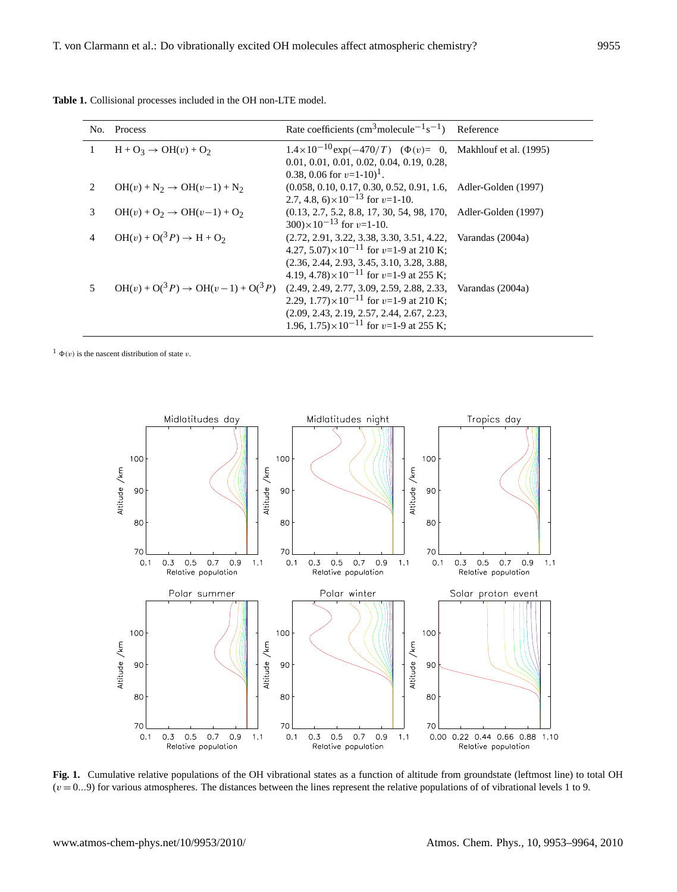| No. | Process                                     | Rate coefficients (cm <sup>3</sup> molecule <sup><math>-1</math></sup> s <sup><math>-1</math></sup> )                                                                                                                                   | Reference |
|-----|---------------------------------------------|-----------------------------------------------------------------------------------------------------------------------------------------------------------------------------------------------------------------------------------------|-----------|
|     | $H + O_3 \rightarrow OH(v) + O_2$           | $1.4 \times 10^{-10}$ exp(-470/T) ( $\Phi(v) = 0$ , Makhlouf et al. (1995)<br>$0.01, 0.01, 0.01, 0.02, 0.04, 0.19, 0.28,$<br>0.38, 0.06 for $v=1-10$ <sup>1</sup> .                                                                     |           |
| 2.  | $OH(v) + N_2 \rightarrow OH(v-1) + N_2$     | $(0.058, 0.10, 0.17, 0.30, 0.52, 0.91, 1.6,$ Adler-Golden (1997)<br>2.7, 4.8, $6 \times 10^{-13}$ for $v=1-10$ .                                                                                                                        |           |
| 3   | $OH(v) + O_2 \rightarrow OH(v-1) + O_2$     | $(0.13, 2.7, 5.2, 8.8, 17, 30, 54, 98, 170,$ Adler-Golden (1997)<br>$(300) \times 10^{-13}$ for $v=1-10$ .                                                                                                                              |           |
|     | $OH(v) + O(3P) \rightarrow H + O_2$         | $(2.72, 2.91, 3.22, 3.38, 3.30, 3.51, 4.22, \text{Varandas } (2004a)$<br>4.27, $5.07 \times 10^{-11}$ for v=1-9 at 210 K;<br>$(2.36, 2.44, 2.93, 3.45, 3.10, 3.28, 3.88,$<br>4.19, 4.78) $\times$ 10 <sup>-11</sup> for v=1-9 at 255 K; |           |
|     | $OH(v) + O(3P) \rightarrow OH(v-1) + O(3P)$ | $(2.49, 2.49, 2.77, 3.09, 2.59, 2.88, 2.33, \text{Varandas } (2004a)$<br>2.29, $1.77 \times 10^{-11}$ for v=1-9 at 210 K;<br>$(2.09, 2.43, 2.19, 2.57, 2.44, 2.67, 2.23,$<br>1.96, $1.75 \times 10^{-11}$ for v=1-9 at 255 K;           |           |

**Table 1.** Collisional processes included in the OH non-LTE model.

<sup>1</sup>  $\Phi(v)$  is the nascent distribution of state v.



<span id="page-2-0"></span>**Fig. 1.** Cumulative relative populations of the OH vibrational states as a function of altitude from groundstate (leftmost line) to total OH  $(v = 0...9)$  for various atmospheres. The distances between the lines represent the relative populations of of vibrational levels 1 to 9.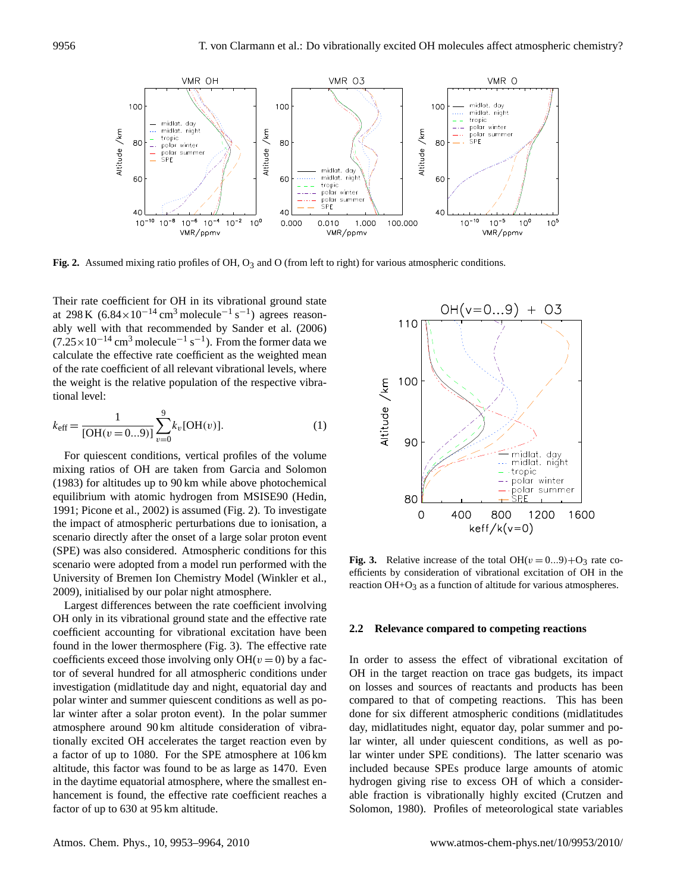

<span id="page-3-0"></span>**Fig. 2.** Assumed mixing ratio profiles of OH, O<sup>3</sup> and O (top to **Fig. 2.** Assumed mixing ratio profiles of OH, O<sub>3</sub> and O (from left to right) for various atmospheric conditions.

Their rate coefficient for OH in its vibrational ground state at 298 K  $(6.84 \times 10^{-14} \text{ cm}^3 \text{ molecule}^{-1} \text{ s}^{-1})$  agrees reasonably well with that recommended by [Sander et al.](#page-11-23) [\(2006\)](#page-11-23)  $(7.25 \times 10^{-14} \text{ cm}^3 \text{ molecule}^{-1} \text{ s}^{-1})$ . From the former data we calculate the effective rate coefficient as the weighted mean of the rate coefficient of all relevant vibrational levels, where the weight is the relative population of the respective vibrational level:

<span id="page-3-2"></span>
$$
k_{\text{eff}} = \frac{1}{\text{[OH}(v=0...9)]} \sum_{v=0}^{9} k_v \text{[OH}(v) \text{]}.
$$
 (1)

For quiescent conditions, vertical profiles of the volume mixing ratios of OH are taken from [Garcia and Solomon](#page-10-25) [\(1983\)](#page-10-25) for altitudes up to 90 km while above photochemical equilibrium with atomic hydrogen from MSISE90 [\(Hedin,](#page-10-26) [1991;](#page-10-26) [Picone et al.,](#page-11-24) [2002\)](#page-11-24) is assumed (Fig. [2\)](#page-3-0). To investigate the impact of atmospheric perturbations due to ionisation, a scenario directly after the onset of a large solar proton event (SPE) was also considered. Atmospheric conditions for this scenario were adopted from a model run performed with the University of Bremen Ion Chemistry Model [\(Winkler et al.,](#page-11-25) [2009\)](#page-11-25), initialised by our polar night atmosphere.

Largest differences between the rate coefficient involving OH only in its vibrational ground state and the effective rate coefficient accounting for vibrational excitation have been found in the lower thermosphere (Fig. [3\)](#page-3-1). The effective rate coefficients exceed those involving only  $OH(v = 0)$  by a factor of several hundred for all atmospheric conditions under investigation (midlatitude day and night, equatorial day and polar winter and summer quiescent conditions as well as polar winter after a solar proton event). In the polar summer atmosphere around 90 km altitude consideration of vibrationally excited OH accelerates the target reaction even by a factor of up to 1080. For the SPE atmosphere at 106 km altitude, this factor was found to be as large as 1470. Even in the daytime equatorial atmosphere, where the smallest enhancement is found, the effective rate coefficient reaches a factor of up to 630 at 95 km altitude.



<span id="page-3-1"></span>**Fig. 3.** Relative increase of the total OH( $v = 0...9$ )+O<sub>3</sub> rate co-efficients by consideration of vibrational excitation of OH in the reaction OH+O<sub>3</sub> as a function of altitude for various atmospheres. efficients by consideration of vibrational excitation of OH in the<br>exception OH in the exception of altitude for vertices the conceptions. reaction  $OH + O_3$  as a function of altitude for various atmospheres.

#### **2.2 Relevance compared to competing reactions**

In order to assess the effect of vibrational excitation of OH in the target reaction on trace gas budgets, its impact on losses and sources of reactants and products has been compared to that of competing reactions. This has been done for six different atmospheric conditions (midlatitudes day, midlatitudes night, equator day, polar summer and polar winter, all under quiescent conditions, as well as polar winter under SPE conditions). The latter scenario was included because SPEs produce large amounts of atomic hydrogen giving rise to excess OH of which a considerable fraction is vibrationally highly excited [\(Crutzen and](#page-10-27) [Solomon,](#page-10-27) [1980\)](#page-10-27). Profiles of meteorological state variables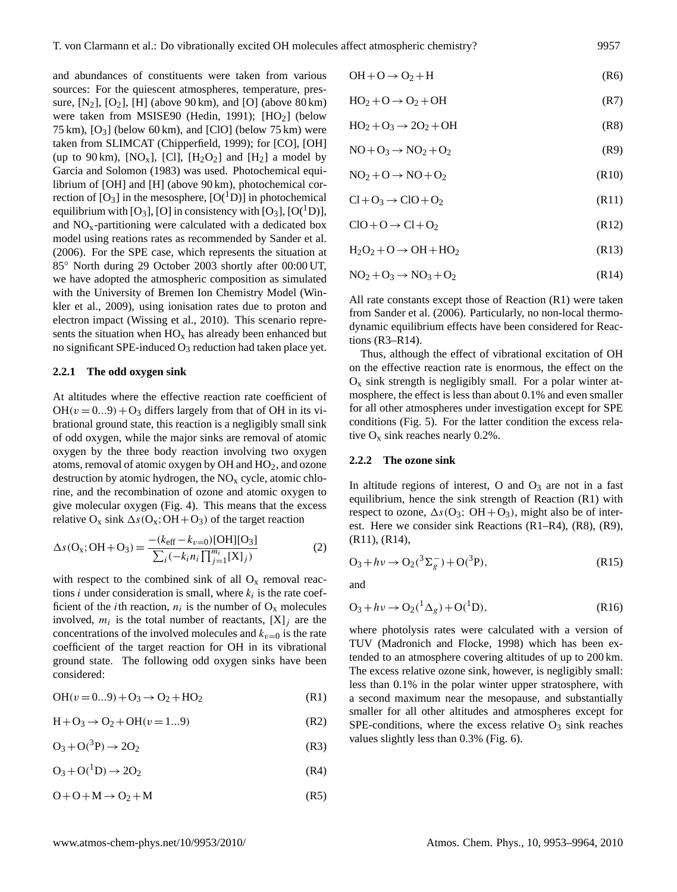and abundances of constituents were taken from various sources: For the quiescent atmospheres, temperature, pressure,  $[N_2]$ ,  $[O_2]$ ,  $[H]$  (above 90 km), and  $[O]$  (above 80 km) were taken from MSISE90 [\(Hedin,](#page-10-26) [1991\)](#page-10-26);  $[HO<sub>2</sub>]$  (below 75 km),  $[O_3]$  (below 60 km), and  $[CIO]$  (below 75 km) were taken from SLIMCAT [\(Chipperfield,](#page-10-10) [1999\)](#page-10-10); for [CO], [OH] (up to 90 km), [NO<sub>x</sub>], [Cl], [H<sub>2</sub>O<sub>2</sub>] and [H<sub>2</sub>] a model by [Garcia and Solomon](#page-10-25) [\(1983\)](#page-10-25) was used. Photochemical equilibrium of [OH] and [H] (above 90 km), photochemical correction of  $[O_3]$  in the mesosphere,  $[O(^1D)]$  in photochemical equilibrium with  $[O_3]$ ,  $[O]$  in consistency with  $[O_3]$ ,  $[O(^1D)]$ , and  $NO<sub>x</sub>$ -partitioning were calculated with a dedicated box model using reations rates as recommended by [Sander et al.](#page-11-23) [\(2006\)](#page-11-23). For the SPE case, which represents the situation at 85◦ North during 29 October 2003 shortly after 00:00 UT, we have adopted the atmospheric composition as simulated with the University of Bremen Ion Chemistry Model [\(Win](#page-11-25)[kler et al.,](#page-11-25) [2009\)](#page-11-25), using ionisation rates due to proton and electron impact [\(Wissing et al.,](#page-11-26) [2010\)](#page-11-26). This scenario represents the situation when  $HO_x$  has already been enhanced but no significant SPE-induced  $O_3$  reduction had taken place yet.

## **2.2.1 The odd oxygen sink**

At altitudes where the effective reaction rate coefficient of  $OH(v = 0...9) + O_3$  differs largely from that of OH in its vibrational ground state, this reaction is a negligibly small sink of odd oxygen, while the major sinks are removal of atomic oxygen by the three body reaction involving two oxygen atoms, removal of atomic oxygen by OH and HO2, and ozone destruction by atomic hydrogen, the  $NO<sub>x</sub>$  cycle, atomic chlorine, and the recombination of ozone and atomic oxygen to give molecular oxygen (Fig. [4\)](#page-5-0). This means that the excess relative  $O_x$  sink  $\Delta s (O_x; OH + O_3)$  of the target reaction

$$
\Delta s(\mathbf{O}_x; \mathbf{OH} + \mathbf{O}_3) = \frac{-(k_{\text{eff}} - k_{v=0})[\mathbf{OH}][\mathbf{O}_3]}{\sum_i (-k_i n_i \prod_{j=1}^{m_i} [\mathbf{X}]_j)}
$$
(2)

with respect to the combined sink of all  $O_x$  removal reactions *i* under consideration is small, where  $k_i$  is the rate coefficient of the *i*th reaction,  $n_i$  is the number of  $O_x$  molecules involved,  $m_i$  is the total number of reactants,  $[X]_j$  are the concentrations of the involved molecules and  $k_{v=0}$  is the rate coefficient of the target reaction for OH in its vibrational ground state. The following odd oxygen sinks have been considered:

<span id="page-4-0"></span>
$$
OH(v = 0...9) + O_3 \rightarrow O_2 + HO_2 \tag{R1}
$$

$$
H + O_3 \to O_2 + OH(v = 1...9)
$$
 (R2)

$$
O_3 + O(^3P) \rightarrow 2O_2 \tag{R3}
$$

<span id="page-4-2"></span>
$$
O_3 + O(^1D) \rightarrow 2O_2 \tag{R4}
$$

$$
O + O + M \rightarrow O_2 + M \tag{R5}
$$

<span id="page-4-6"></span>
$$
OH + O \rightarrow O_2 + H
$$
 (R6)

$$
HO_2 + O \to O_2 + OH \tag{R7}
$$

<span id="page-4-3"></span>
$$
HO_2 + O_3 \rightarrow 2O_2 + OH \tag{R8}
$$

<span id="page-4-4"></span>
$$
NO + O_3 \rightarrow NO_2 + O_2 \tag{R9}
$$

$$
NO2 + O \rightarrow NO + O2
$$
 (R10)

<span id="page-4-5"></span>
$$
Cl + O_3 \rightarrow ClO + O_2 \tag{R11}
$$

$$
ClO + O \rightarrow Cl + O_2 \tag{R12}
$$

<span id="page-4-7"></span>
$$
H_2O_2 + O \to OH + HO_2 \tag{R13}
$$

<span id="page-4-1"></span>
$$
NO2 + O3 \rightarrow NO3 + O2
$$
 (R14)

All rate constants except those of Reaction [\(R1\)](#page-1-1) were taken from [Sander et al.](#page-11-23) [\(2006\)](#page-11-23). Particularly, no non-local thermodynamic equilibrium effects have been considered for Reactions [\(R3](#page-4-0)[–R14\)](#page-4-1).

Thus, although the effect of vibrational excitation of OH on the effective reaction rate is enormous, the effect on the  $O_x$  sink strength is negligibly small. For a polar winter atmosphere, the effect is less than about 0.1% and even smaller for all other atmospheres under investigation except for SPE conditions (Fig. [5\)](#page-5-1). For the latter condition the excess relative  $O_x$  sink reaches nearly 0.2%.

## **2.2.2 The ozone sink**

In altitude regions of interest, O and  $O_3$  are not in a fast equilibrium, hence the sink strength of Reaction [\(R1\)](#page-1-1) with respect to ozone,  $\Delta s$ (O<sub>3</sub>; OH+O<sub>3</sub>), might also be of interest. Here we consider sink Reactions [\(R1–](#page-1-1)[R4\)](#page-4-2), [\(R8\)](#page-4-3), [\(R9\)](#page-4-4), [\(R11\)](#page-4-5), [\(R14\)](#page-4-1),

$$
O_3 + h\nu \to O_2(^3\Sigma_g^-) + O(^3P), \tag{R15}
$$

and

$$
O_3 + h\nu \to O_2(^1 \Delta_g) + O(^1 D), \tag{R16}
$$

where photolysis rates were calculated with a version of TUV [\(Madronich and Flocke,](#page-10-28) [1998\)](#page-10-28) which has been extended to an atmosphere covering altitudes of up to 200 km. The excess relative ozone sink, however, is negligibly small: less than 0.1% in the polar winter upper stratosphere, with a second maximum near the mesopause, and substantially smaller for all other altitudes and atmospheres except for SPE-conditions, where the excess relative  $O_3$  sink reaches values slightly less than 0.3% (Fig. [6\)](#page-5-2).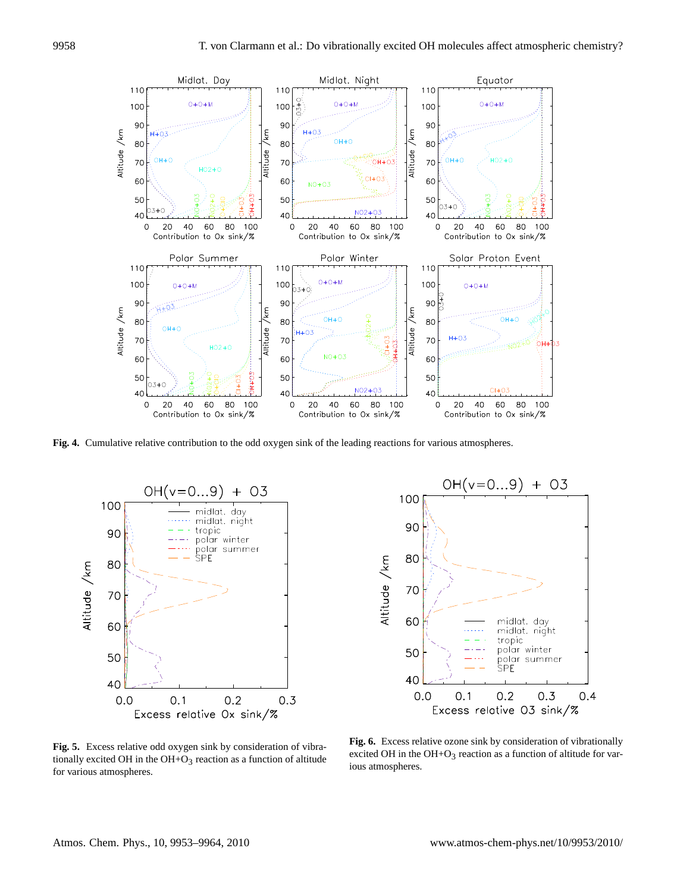

<span id="page-5-0"></span>**Fig. 4.** Cumulative relative contribution to the odd oxygen sink of Fig. 4. Cumulative relative contribution to the odd oxygen sink of the leading reactions for various atmospheres.



 $OH(v=0...9)$ 03 100 90 **80** Altitude /km  $7C$ 60 midlat. day midlat. night tropic polar winter 50 .<br>polar summer SPF 40  $0.1$  $0.2$  $0.0$  $0.3$  $0.4$ Excess relative  $03 \sin k/\%$ 

<span id="page-5-1"></span>**Fig. 5.** Excess relative odd oxygen sink by consideration of vibra-<br>excited OH in the OI tionally excited OH in the  $OH + O_3$  reaction as a function of altitude<br>ious atmospheres. for various atmospheres. for various atmospheres.

<span id="page-5-2"></span>**Fig. 6.** Excess relative ozone sink by consideration of vibrationally **Fig. 6.** Excess relative ozone sink by consideration of vibrationally excited OH in the  $OH+O<sub>3</sub>$  reaction as a function of altitude for var-<br>ious atmospheres ious atmospheres. ious atmospheres.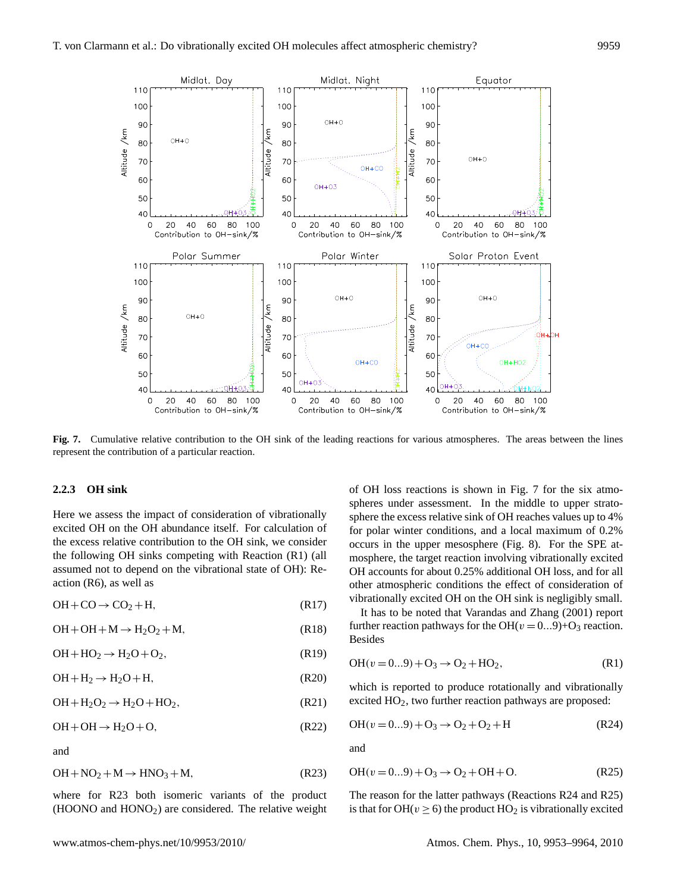

<span id="page-6-1"></span>Fig. 7. Cumulative relative contribution to the OH sink of the leading reactions for various atmospheres. The areas between the lines represent the contribution of a particular reaction. represent the contribution of a particular reaction.

## **2.2.3 OH sink**

Here we assess the impact of consideration of vibrationally excited OH on the OH abundance itself. For calculation of the excess relative contribution to the OH sink, we consider the following OH sinks competing with Reaction [\(R1\)](#page-1-1) (all assumed not to depend on the vibrational state of OH): Reaction [\(R6\)](#page-4-6), as well as

$$
OH + CO \rightarrow CO_2 + H, \tag{R17}
$$

$$
OH + OH + M \rightarrow H_2O_2 + M, \tag{R18}
$$

$$
OH + HO_2 \rightarrow H_2O + O_2, \tag{R19}
$$

$$
OH + H_2 \rightarrow H_2O + H,
$$
 (R20)

<span id="page-6-4"></span>
$$
OH + H2O2 \rightarrow H2O + HO2, \t\t (R21)
$$

$$
OH + OH \rightarrow H_2O + O, \tag{R22}
$$

<span id="page-6-0"></span>and

$$
OH + NO2 + M \rightarrow HNO3 + M,
$$
 (R23)

where for [R23](#page-6-0) both isomeric variants of the product (HOONO and HONO2) are considered. The relative weight of OH loss reactions is shown in Fig. [7](#page-6-1) for the six atmospheres under assessment. In the middle to upper stratosphere the excess relative sink of OH reaches values up to 4% for polar winter conditions, and a local maximum of 0.2% occurs in the upper mesosphere (Fig. [8\)](#page-7-0). For the SPE atmosphere, the target reaction involving vibrationally excited OH accounts for about 0.25% additional OH loss, and for all other atmospheric conditions the effect of consideration of vibrationally excited OH on the OH sink is negligibly small.

<span id="page-6-2"></span>It has to be noted that [Varandas and Zhang](#page-11-11) [\(2001\)](#page-11-11) report further reaction pathways for the OH( $v = 0...9$ )+O<sub>3</sub> reaction. Besides

$$
OH(v = 0...9) + O_3 \rightarrow O_2 + HO_2, \tag{R1}
$$

which is reported to produce rotationally and vibrationally excited HO<sub>2</sub>, two further reaction pathways are proposed:

$$
OH(v = 0...9) + O_3 \rightarrow O_2 + O_2 + H
$$
 (R24)

<span id="page-6-3"></span>and

$$
OH(v = 0...9) + O_3 \rightarrow O_2 + OH + O. \tag{R25}
$$

The reason for the latter pathways (Reactions [R24](#page-6-2) and [R25\)](#page-6-3) is that for OH( $v \ge 6$ ) the product HO<sub>2</sub> is vibrationally excited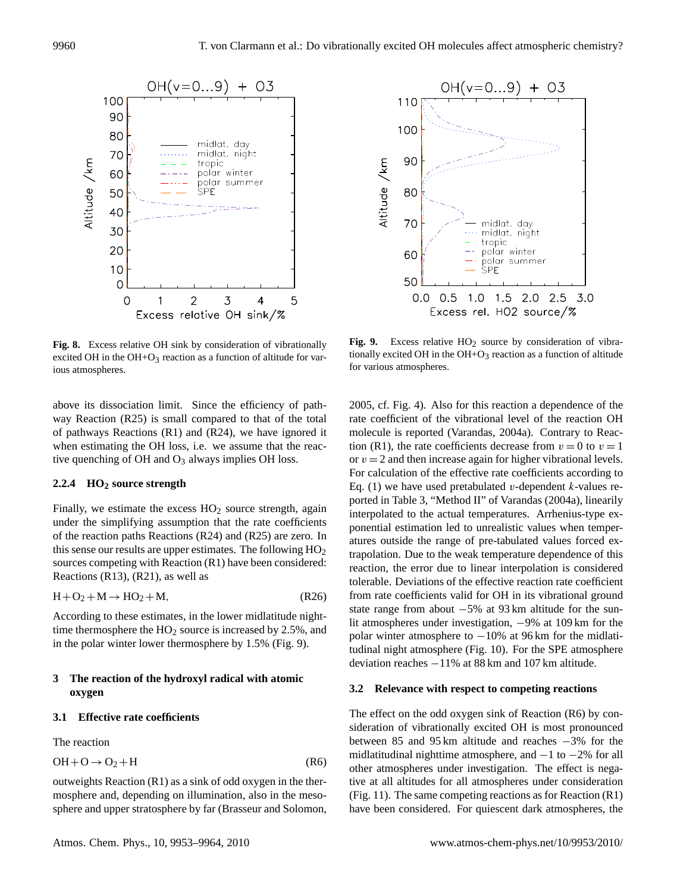

<span id="page-7-0"></span>**Fig. 8.** Excess relative OH sink by consideration of vibrationally **Fig. 9.** Excess relative of sink by consideration of vibrationally excited OH in t  $\frac{1}{2}$  reaction as a function of altitude for vari-<br>for various atmospheres. excited OH in the  $OH + O_3$  reaction as a function of altitude for various atmospheres.

above its dissociation limit. Since the efficiency of pathway Reaction [\(R25\)](#page-6-3) is small compared to that of the total of pathways Reactions [\(R1\)](#page-1-1) and [\(R24\)](#page-6-2), we have ignored it when estimating the OH loss, i.e. we assume that the reactive quenching of OH and  $O_3$  always implies OH loss.

## **2.2.4 HO<sup>2</sup> source strength**

Finally, we estimate the excess  $HO<sub>2</sub>$  source strength, again under the simplifying assumption that the rate coefficients of the reaction paths Reactions [\(R24\)](#page-6-2) and [\(R25\)](#page-6-3) are zero. In this sense our results are upper estimates. The following  $HO<sub>2</sub>$ sources competing with Reaction [\(R1\)](#page-1-1) have been considered: Reactions [\(R13\)](#page-4-7), [\(R21\)](#page-6-4), as well as

$$
H + O2 + M \rightarrow HO2 + M,
$$
 (R26)

According to these estimates, in the lower midlatitude nighttime thermosphere the  $HO<sub>2</sub>$  source is increased by 2.5%, and in the polar winter lower thermosphere by 1.5% (Fig. [9\)](#page-7-1).

## **3 The reaction of the hydroxyl radical with atomic oxygen**

## **3.1 Effective rate coefficients**

The reaction

$$
OH + O \rightarrow O_2 + H
$$
 (R6)

outweights Reaction [\(R1\)](#page-1-1) as a sink of odd oxygen in the thermosphere and, depending on illumination, also in the mesosphere and upper stratosphere by far [\(Brasseur and Solomon,](#page-9-0)



<span id="page-7-1"></span>**Fig. 9.** Excess relative HO<sub>2</sub> source by consideration of vibrationally excited OH in the  $OH + O_3$  reaction as a function of altitude for various atmospheres ious atmospheres.

[2005,](#page-9-0) cf. Fig. [4\)](#page-5-0). Also for this reaction a dependence of the rate coefficient of the vibrational level of the reaction OH molecule is reported [\(Varandas,](#page-11-13) [2004a\)](#page-11-13). Contrary to Reac-tion [\(R1\)](#page-1-1), the rate coefficients decrease from  $v = 0$  to  $v = 1$ or  $v = 2$  and then increase again for higher vibrational levels. For calculation of the effective rate coefficients according to Eq. [\(1\)](#page-3-2) we have used pretabulated v-dependent k-values reported in Table 3, "Method II" of [Varandas](#page-11-13) [\(2004a\)](#page-11-13), linearily interpolated to the actual temperatures. Arrhenius-type exponential estimation led to unrealistic values when temperatures outside the range of pre-tabulated values forced extrapolation. Due to the weak temperature dependence of this reaction, the error due to linear interpolation is considered tolerable. Deviations of the effective reaction rate coefficient from rate coefficients valid for OH in its vibrational ground state range from about −5% at 93 km altitude for the sunlit atmospheres under investigation, −9% at 109 km for the polar winter atmosphere to −10% at 96 km for the midlatitudinal night atmosphere (Fig. [10\)](#page-8-0). For the SPE atmosphere deviation reaches −11% at 88 km and 107 km altitude.

#### **3.2 Relevance with respect to competing reactions**

The effect on the odd oxygen sink of Reaction [\(R6\)](#page-4-6) by consideration of vibrationally excited OH is most pronounced between 85 and 95 km altitude and reaches −3% for the midlatitudinal nighttime atmosphere, and  $-1$  to  $-2\%$  for all other atmospheres under investigation. The effect is negative at all altitudes for all atmospheres under consideration (Fig. [11\)](#page-8-1). The same competing reactions as for Reaction  $(R1)$ have been considered. For quiescent dark atmospheres, the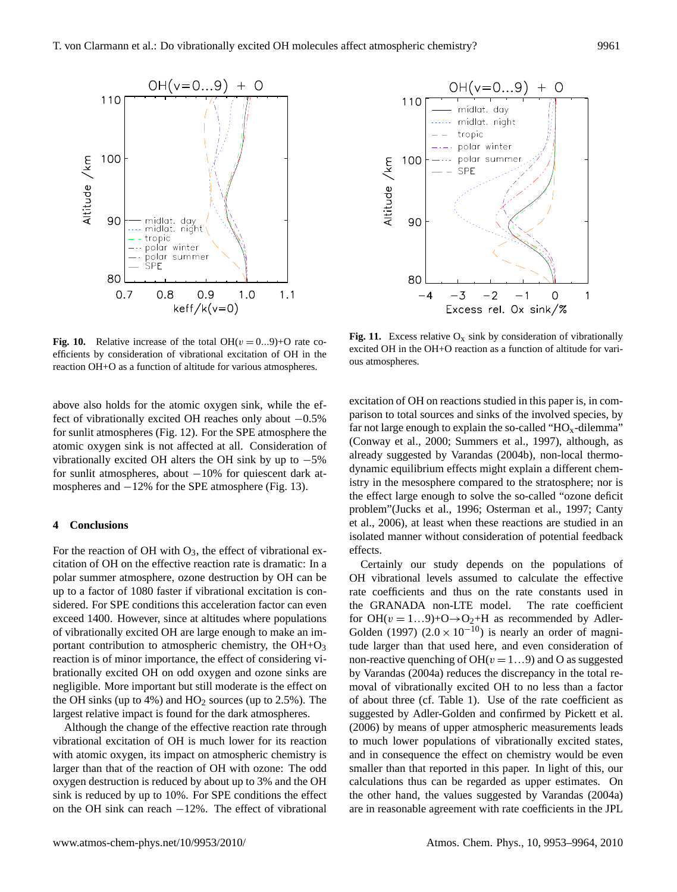



<span id="page-8-0"></span>**Fig. 10.** Relative increase of the total OH( $v = 0...9$ )+O rate co-<br>excited OH in the OI efficients by consideration of vibrational excitation of OH in the consideration of OH in the consideration of  $\alpha$  is almospheres. reaction OH+O as a function of altitude for various atmospheres. <sup>Ous atmospheres.</sup>

above also holds for the atomic oxygen sink, while the effect of vibrationally excited OH reaches only about −0.5% for sunlit atmospheres (Fig. [12\)](#page-9-2). For the SPE atmosphere the atomic oxygen sink is not affected at all. Consideration of vibrationally excited OH alters the OH sink by up to  $-5\%$ for sunlit atmospheres, about −10% for quiescent dark at-mospheres and −12% for the SPE atmosphere (Fig. [13\)](#page-9-3).

## **4 Conclusions**

For the reaction of OH with  $O_3$ , the effect of vibrational excitation of OH on the effective reaction rate is dramatic: In a polar summer atmosphere, ozone destruction by OH can be up to a factor of 1080 faster if vibrational excitation is considered. For SPE conditions this acceleration factor can even exceed 1400. However, since at altitudes where populations of vibrationally excited OH are large enough to make an important contribution to atmospheric chemistry, the  $OH + O<sub>3</sub>$ reaction is of minor importance, the effect of considering vibrationally excited OH on odd oxygen and ozone sinks are negligible. More important but still moderate is the effect on the OH sinks (up to  $4\%$ ) and  $HO<sub>2</sub>$  sources (up to 2.5%). The largest relative impact is found for the dark atmospheres.

Although the change of the effective reaction rate through vibrational excitation of OH is much lower for its reaction with atomic oxygen, its impact on atmospheric chemistry is larger than that of the reaction of OH with ozone: The odd oxygen destruction is reduced by about up to 3% and the OH sink is reduced by up to 10%. For SPE conditions the effect on the OH sink can reach −12%. The effect of vibrational

<span id="page-8-1"></span>**Fig. 11.** Excess relative  $O_x$  sink by consideration of vibrationally excited OH in the OH+O reaction as a function of altitude for variexpheres. excited OH in the OH+O reaction as a function of altitude for various atmospheres.

excitation of OH on reactions studied in this paper is, in comparison to total sources and sinks of the involved species, by far not large enough to explain the so-called " $HO<sub>x</sub>$ -dilemma" [\(Conway et al.,](#page-10-29) [2000;](#page-10-29) [Summers et al.,](#page-11-27) [1997\)](#page-11-27), although, as already suggested by [Varandas](#page-11-14) [\(2004b\)](#page-11-14), non-local thermodynamic equilibrium effects might explain a different chemistry in the mesosphere compared to the stratosphere; nor is the effect large enough to solve the so-called "ozone deficit problem"[\(Jucks et al.,](#page-10-30) [1996;](#page-10-30) [Osterman et al.,](#page-11-28) [1997;](#page-11-28) [Canty](#page-9-4) [et al.,](#page-9-4) [2006\)](#page-9-4), at least when these reactions are studied in an isolated manner without consideration of potential feedback effects.

Certainly our study depends on the populations of OH vibrational levels assumed to calculate the effective rate coefficients and thus on the rate constants used in the GRANADA non-LTE model. The rate coefficient for  $OH(v = 1...9)+O \rightarrow O_2+H$  as recommended by [Adler-](#page-9-1)[Golden](#page-9-1) [\(1997\)](#page-9-1) (2.0 × 10<sup>-10</sup>) is nearly an order of magnitude larger than that used here, and even consideration of non-reactive quenching of  $OH(v = 1...9)$  and O as suggested by [Varandas](#page-11-13) [\(2004a\)](#page-11-13) reduces the discrepancy in the total removal of vibrationally excited OH to no less than a factor of about three (cf. Table 1). Use of the rate coefficient as suggested by Adler-Golden and confirmed by [Pickett et al.](#page-11-21) [\(2006\)](#page-11-21) by means of upper atmospheric measurements leads to much lower populations of vibrationally excited states, and in consequence the effect on chemistry would be even smaller than that reported in this paper. In light of this, our calculations thus can be regarded as upper estimates. On the other hand, the values suggested by [Varandas](#page-11-13) [\(2004a\)](#page-11-13) are in reasonable agreement with rate coefficients in the JPL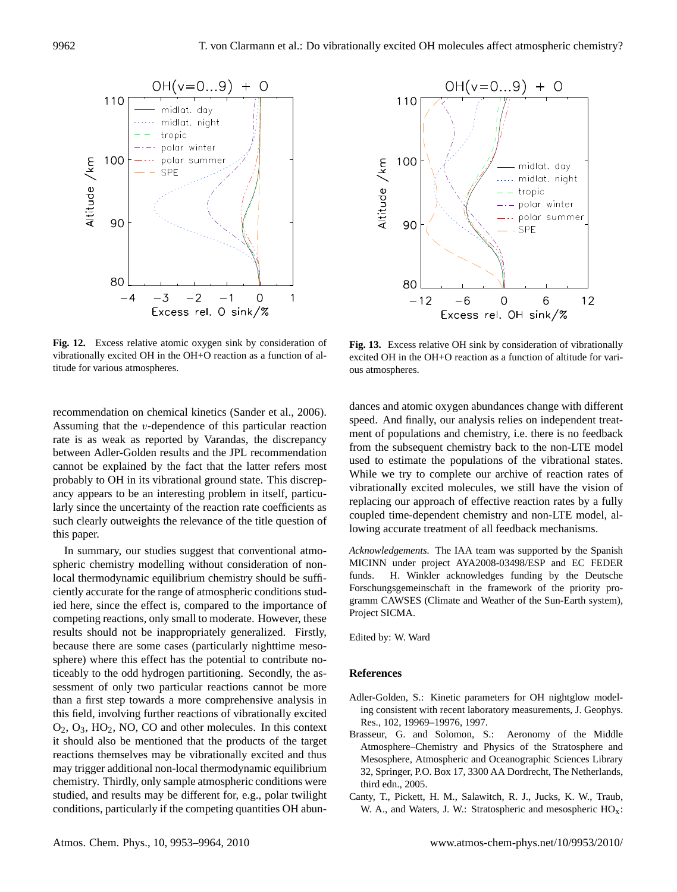

<span id="page-9-2"></span>**Fig. 12.** Excess relative atomic oxygen sink by consideration of Fig. 13. Excess relative vibrationally excited OH in the OH+O reaction as a function of al-<br>titude for various atmospheres  $\frac{1}{\sqrt{2}}$ titude for various atmospheres.

recommendation on chemical kinetics [\(Sander et al.,](#page-11-23) [2006\)](#page-11-23). Assuming that the v-dependence of this particular reaction rate is as weak as reported by Varandas, the discrepancy between Adler-Golden results and the JPL recommendation cannot be explained by the fact that the latter refers most probably to OH in its vibrational ground state. This discrepancy appears to be an interesting problem in itself, particularly since the uncertainty of the reaction rate coefficients as such clearly outweights the relevance of the title question of this paper.

In summary, our studies suggest that conventional atmospheric chemistry modelling without consideration of nonlocal thermodynamic equilibrium chemistry should be sufficiently accurate for the range of atmospheric conditions studied here, since the effect is, compared to the importance of competing reactions, only small to moderate. However, these results should not be inappropriately generalized. Firstly, because there are some cases (particularly nighttime mesosphere) where this effect has the potential to contribute noticeably to the odd hydrogen partitioning. Secondly, the assessment of only two particular reactions cannot be more than a first step towards a more comprehensive analysis in this field, involving further reactions of vibrationally excited O2, O3, HO2, NO, CO and other molecules. In this context it should also be mentioned that the products of the target reactions themselves may be vibrationally excited and thus may trigger additional non-local thermodynamic equilibrium chemistry. Thirdly, only sample atmospheric conditions were studied, and results may be different for, e.g., polar twilight conditions, particularly if the competing quantities OH abun-



<span id="page-9-3"></span>**Fig. 13.** Excess relative OH sink by consideration of vibrationally excited OH in the OH+O reaction as a function of altitude for vari-<br>ous atmospheres. ous atmospheres.

dances and atomic oxygen abundances change with different speed. And finally, our analysis relies on independent treatment of populations and chemistry, i.e. there is no feedback from the subsequent chemistry back to the non-LTE model used to estimate the populations of the vibrational states. While we try to complete our archive of reaction rates of vibrationally excited molecules, we still have the vision of replacing our approach of effective reaction rates by a fully coupled time-dependent chemistry and non-LTE model, allowing accurate treatment of all feedback mechanisms.

*Acknowledgements.* The IAA team was supported by the Spanish MICINN under project AYA2008-03498/ESP and EC FEDER funds. H. Winkler acknowledges funding by the Deutsche Forschungsgemeinschaft in the framework of the priority programm CAWSES (Climate and Weather of the Sun-Earth system), Project SICMA.

Edited by: W. Ward

## **References**

- <span id="page-9-1"></span>Adler-Golden, S.: Kinetic parameters for OH nightglow modeling consistent with recent laboratory measurements, J. Geophys. Res., 102, 19969–19976, 1997.
- <span id="page-9-0"></span>Brasseur, G. and Solomon, S.: Aeronomy of the Middle Atmosphere–Chemistry and Physics of the Stratosphere and Mesosphere, Atmospheric and Oceanographic Sciences Library 32, Springer, P.O. Box 17, 3300 AA Dordrecht, The Netherlands, third edn., 2005.
- <span id="page-9-4"></span>Canty, T., Pickett, H. M., Salawitch, R. J., Jucks, K. W., Traub, W. A., and Waters, J. W.: Stratospheric and mesospheric HOx: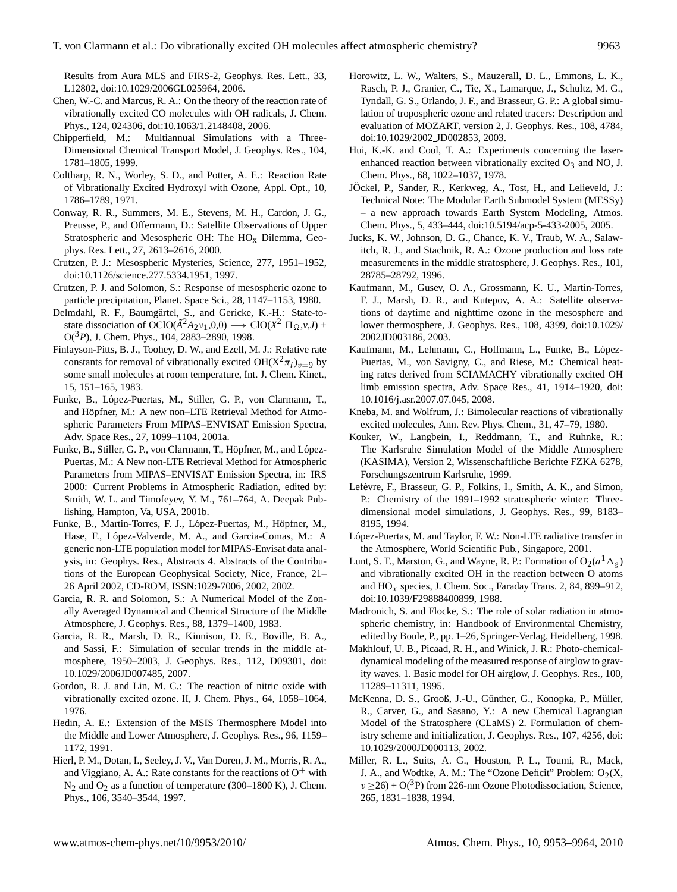Results from Aura MLS and FIRS-2, Geophys. Res. Lett., 33, L12802, doi:10.1029/2006GL025964, 2006.

- <span id="page-10-9"></span>Chen, W.-C. and Marcus, R. A.: On the theory of the reaction rate of vibrationally excited CO molecules with OH radicals, J. Chem. Phys., 124, 024306, doi:10.1063/1.2148408, 2006.
- <span id="page-10-10"></span>Chipperfield, M.: Multiannual Simulations with a Three-Dimensional Chemical Transport Model, J. Geophys. Res., 104, 1781–1805, 1999.
- <span id="page-10-0"></span>Coltharp, R. N., Worley, S. D., and Potter, A. E.: Reaction Rate of Vibrationally Excited Hydroxyl with Ozone, Appl. Opt., 10, 1786–1789, 1971.
- <span id="page-10-29"></span>Conway, R. R., Summers, M. E., Stevens, M. H., Cardon, J. G., Preusse, P., and Offermann, D.: Satellite Observations of Upper Stratospheric and Mesospheric OH: The  $HO<sub>x</sub>$  Dilemma, Geophys. Res. Lett., 27, 2613–2616, 2000.
- <span id="page-10-20"></span>Crutzen, P. J.: Mesospheric Mysteries, Science, 277, 1951–1952, doi:10.1126/science.277.5334.1951, 1997.
- <span id="page-10-27"></span>Crutzen, P. J. and Solomon, S.: Response of mesospheric ozone to particle precipitation, Planet. Space Sci., 28, 1147–1153, 1980.
- <span id="page-10-8"></span>Delmdahl, R. F., Baumgärtel, S., and Gericke, K.-H.: State-tostate dissociation of OClO( $\tilde{A}^2 A_2 \nu_1$ ,0,0)  $\longrightarrow$  ClO( $X^2 \Pi_{\Omega}$ ,*v*,*J*) + O(3*P*), J. Chem. Phys., 104, 2883–2890, 1998.
- <span id="page-10-23"></span>Finlayson-Pitts, B. J., Toohey, D. W., and Ezell, M. J.: Relative rate constants for removal of vibrationally excited  $OH(X^2\pi_i)_{v=9}$  by some small molecules at room temperature, Int. J. Chem. Kinet., 15, 151–165, 1983.
- <span id="page-10-17"></span>Funke, B., López-Puertas, M., Stiller, G. P., von Clarmann, T., and Höpfner, M.: A new non–LTE Retrieval Method for Atmospheric Parameters From MIPAS–ENVISAT Emission Spectra, Adv. Space Res., 27, 1099–1104, 2001a.
- <span id="page-10-18"></span>Funke, B., Stiller, G. P., von Clarmann, T., Höpfner, M., and López-Puertas, M.: A New non-LTE Retrieval Method for Atmospheric Parameters from MIPAS–ENVISAT Emission Spectra, in: IRS 2000: Current Problems in Atmospheric Radiation, edited by: Smith, W. L. and Timofeyev, Y. M., 761–764, A. Deepak Publishing, Hampton, Va, USA, 2001b.
- <span id="page-10-22"></span>Funke, B., Martin-Torres, F. J., López-Puertas, M., Höpfner, M., Hase, F., López-Valverde, M. A., and Garcia-Comas, M.: A generic non-LTE population model for MIPAS-Envisat data analysis, in: Geophys. Res., Abstracts 4. Abstracts of the Contributions of the European Geophysical Society, Nice, France, 21– 26 April 2002, CD-ROM, ISSN:1029-7006, 2002, 2002.
- <span id="page-10-25"></span>Garcia, R. R. and Solomon, S.: A Numerical Model of the Zonally Averaged Dynamical and Chemical Structure of the Middle Atmosphere, J. Geophys. Res., 88, 1379–1400, 1983.
- <span id="page-10-16"></span>Garcia, R. R., Marsh, D. R., Kinnison, D. E., Boville, B. A., and Sassi, F.: Simulation of secular trends in the middle atmosphere, 1950–2003, J. Geophys. Res., 112, D09301, doi: 10.1029/2006JD007485, 2007.
- <span id="page-10-1"></span>Gordon, R. J. and Lin, M. C.: The reaction of nitric oxide with vibrationally excited ozone. II, J. Chem. Phys., 64, 1058–1064, 1976.
- <span id="page-10-26"></span>Hedin, A. E.: Extension of the MSIS Thermosphere Model into the Middle and Lower Atmosphere, J. Geophys. Res., 96, 1159– 1172, 1991.
- <span id="page-10-7"></span>Hierl, P. M., Dotan, I., Seeley, J. V., Van Doren, J. M., Morris, R. A., and Viggiano, A. A.: Rate constants for the reactions of  $O^+$  with  $N_2$  and  $O_2$  as a function of temperature (300–1800 K), J. Chem. Phys., 106, 3540–3544, 1997.
- <span id="page-10-11"></span>Horowitz, L. W., Walters, S., Mauzerall, D. L., Emmons, L. K., Rasch, P. J., Granier, C., Tie, X., Lamarque, J., Schultz, M. G., Tyndall, G. S., Orlando, J. F., and Brasseur, G. P.: A global simulation of tropospheric ozone and related tracers: Description and evaluation of MOZART, version 2, J. Geophys. Res., 108, 4784, doi:10.1029/2002 JD002853, 2003.
- <span id="page-10-2"></span>Hui, K.-K. and Cool, T. A.: Experiments concerning the laserenhanced reaction between vibrationally excited  $O_3$  and NO, J. Chem. Phys., 68, 1022–1037, 1978.
- <span id="page-10-12"></span>JÖckel, P., Sander, R., Kerkweg, A., Tost, H., and Lelieveld, J.: Technical Note: The Modular Earth Submodel System (MESSy) – a new approach towards Earth System Modeling, Atmos. Chem. Phys., 5, 433–444, doi:10.5194/acp-5-433-2005, 2005.
- <span id="page-10-30"></span>Jucks, K. W., Johnson, D. G., Chance, K. V., Traub, W. A., Salawitch, R. J., and Stachnik, R. A.: Ozone production and loss rate measurements in the middle stratosphere, J. Geophys. Res., 101, 28785–28792, 1996.
- <span id="page-10-19"></span>Kaufmann, M., Gusev, O. A., Grossmann, K. U., Martín-Torres, F. J., Marsh, D. R., and Kutepov, A. A.: Satellite observations of daytime and nighttime ozone in the mesosphere and lower thermosphere, J. Geophys. Res., 108, 4399, doi:10.1029/ 2002JD003186, 2003.
- <span id="page-10-21"></span>Kaufmann, M., Lehmann, C., Hoffmann, L., Funke, B., López-Puertas, M., von Savigny, C., and Riese, M.: Chemical heating rates derived from SCIAMACHY vibrationally excited OH limb emission spectra, Adv. Space Res., 41, 1914–1920, doi: 10.1016/j.asr.2007.07.045, 2008.
- <span id="page-10-3"></span>Kneba, M. and Wolfrum, J.: Bimolecular reactions of vibrationally excited molecules, Ann. Rev. Phys. Chem., 31, 47–79, 1980.
- <span id="page-10-15"></span>Kouker, W., Langbein, I., Reddmann, T., and Ruhnke, R.: The Karlsruhe Simulation Model of the Middle Atmosphere (KASIMA), Version 2, Wissenschaftliche Berichte FZKA 6278, Forschungszentrum Karlsruhe, 1999.
- <span id="page-10-13"></span>Lefèvre, F., Brasseur, G. P., Folkins, I., Smith, A. K., and Simon, P.: Chemistry of the 1991–1992 stratospheric winter: Threedimensional model simulations, J. Geophys. Res., 99, 8183– 8195, 1994.
- <span id="page-10-4"></span>López-Puertas, M. and Taylor, F. W.: Non-LTE radiative transfer in the Atmosphere, World Scientific Pub., Singapore, 2001.
- <span id="page-10-6"></span>Lunt, S. T., Marston, G., and Wayne, R. P.: Formation of  $O_2(a^1\Delta_g)$ and vibrationally excited OH in the reaction between O atoms and  $HO_x$  species, J. Chem. Soc., Faraday Trans. 2, 84, 899–912, doi:10.1039/F29888400899, 1988.

<span id="page-10-28"></span>Madronich, S. and Flocke, S.: The role of solar radiation in atmospheric chemistry, in: Handbook of Environmental Chemistry, edited by Boule, P., pp. 1–26, Springer-Verlag, Heidelberg, 1998.

- <span id="page-10-24"></span>Makhlouf, U. B., Picaad, R. H., and Winick, J. R.: Photo-chemicaldynamical modeling of the measured response of airglow to gravity waves. 1. Basic model for OH airglow, J. Geophys. Res., 100, 11289–11311, 1995.
- <span id="page-10-14"></span>McKenna, D. S., Grooß, J.-U., Günther, G., Konopka, P., Müller, R., Carver, G., and Sasano, Y.: A new Chemical Lagrangian Model of the Stratosphere (CLaMS) 2. Formulation of chemistry scheme and initialization, J. Geophys. Res., 107, 4256, doi: 10.1029/2000JD000113, 2002.
- <span id="page-10-5"></span>Miller, R. L., Suits, A. G., Houston, P. L., Toumi, R., Mack, J. A., and Wodtke, A. M.: The "Ozone Deficit" Problem:  $O_2(X,$  $v \ge 26$ ) + O(<sup>3</sup>P) from 226-nm Ozone Photodissociation, Science, 265, 1831–1838, 1994.